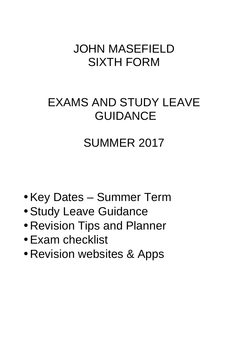# JOHN MASEFIELD SIXTH FORM

# EXAMS AND STUDY LEAVE GUIDANCE

# SUMMER 2017

- Key Dates Summer Term
- Study Leave Guidance
- Revision Tips and Planner
- Exam checklist
- Revision websites & Apps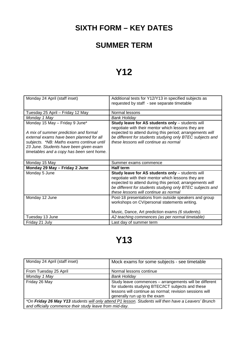### **SIXTH FORM – KEY DATES**

#### **SUMMER TERM**

## **Y12**

| Monday 24 April (staff inset)                                                                                                                                                                                                                           | Additional tests for Y12/Y13 in specified subjects as<br>requested by staff - see separate timetable                                                                                                                                                                     |
|---------------------------------------------------------------------------------------------------------------------------------------------------------------------------------------------------------------------------------------------------------|--------------------------------------------------------------------------------------------------------------------------------------------------------------------------------------------------------------------------------------------------------------------------|
|                                                                                                                                                                                                                                                         |                                                                                                                                                                                                                                                                          |
| Tuesday 25 April – Friday 12 May                                                                                                                                                                                                                        | Normal lessons                                                                                                                                                                                                                                                           |
| Monday 1 May                                                                                                                                                                                                                                            | <b>Bank Holiday</b>                                                                                                                                                                                                                                                      |
| Monday 15 May - Friday 9 June*<br>A mix of summer prediction and formal<br>external exams have been planned for all<br>subjects. *NB: Maths exams continue until<br>23 June. Students have been given exam<br>timetables and a copy has been sent home. | Study leave for AS students only - students will<br>negotiate with their mentor which lessons they are<br>expected to attend during this period; arrangements will<br>be different for students studying only BTEC subjects and<br>these lessons will continue as normal |
|                                                                                                                                                                                                                                                         |                                                                                                                                                                                                                                                                          |
| Monday 15 May                                                                                                                                                                                                                                           | Summer exams commence                                                                                                                                                                                                                                                    |
| Monday 29 May - Friday 2 June                                                                                                                                                                                                                           | <b>Half term</b>                                                                                                                                                                                                                                                         |
| Monday 5 June                                                                                                                                                                                                                                           | Study leave for AS students only - students will<br>negotiate with their mentor which lessons they are<br>expected to attend during this period; arrangements will<br>be different for students studying only BTEC subjects and<br>these lessons will continue as normal |
| Monday 12 June                                                                                                                                                                                                                                          | Post-18 presentations from outside speakers and group<br>workshops on CV/personal statements writing.<br>Music, Dance, Art prediction exams (6 students).                                                                                                                |
| Tuesday 13 June                                                                                                                                                                                                                                         | A2 teaching commences (as per normal timetable)                                                                                                                                                                                                                          |

## **Y13**

| Monday 24 April (staff inset)                                                                        | Mock exams for some subjects - see timetable                                                                                                                                                           |  |
|------------------------------------------------------------------------------------------------------|--------------------------------------------------------------------------------------------------------------------------------------------------------------------------------------------------------|--|
| From Tuesday 25 April                                                                                | Normal lessons continue                                                                                                                                                                                |  |
| Monday 1 May                                                                                         | Bank Holiday                                                                                                                                                                                           |  |
| Friday 26 May                                                                                        | Study leave commences - arrangements will be different<br>for students studying BTEC/ICT subjects and these<br>lessons will continue as normal; revision sessions will<br>generally run up to the exam |  |
| *On Friday 26 May Y13 students will only attend P1 lesson. Students will then have a Leavers' Brunch |                                                                                                                                                                                                        |  |
| and officially commence their study leave from mid-day.                                              |                                                                                                                                                                                                        |  |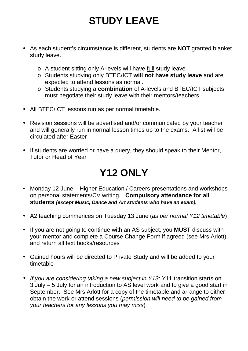## **STUDY LEAVE**

- As each student's circumstance is different, students are **NOT** granted blanket study leave.
	- o A student sitting only A-levels will have full study leave.
	- o Students studying only BTEC/ICT **will not have study leave** and are expected to attend lessons as normal.
	- o Students studying a **combination** of A-levels and BTEC/ICT subjects must negotiate their study leave with their mentors/teachers.
- All BTEC/ICT lessons run as per normal timetable.
- Revision sessions will be advertised and/or communicated by your teacher and will generally run in normal lesson times up to the exams. A list will be circulated after Easter
- If students are worried or have a query, they should speak to their Mentor, Tutor or Head of Year

## **Y12 ONLY**

- Monday 12 June Higher Education / Careers presentations and workshops on personal statements/CV writing. **Compulsory attendance for all students (except Music, Dance and Art students who have an exam).**
- A2 teaching commences on Tuesday 13 June (as per normal Y12 timetable)
- If you are not going to continue with an AS subject, you **MUST** discuss with your mentor and complete a Course Change Form if agreed (see Mrs Arlott) and return all text books/resources
- Gained hours will be directed to Private Study and will be added to your timetable
- If you are considering taking a new subject in Y13: Y11 transition starts on 3 July – 5 July for an introduction to AS level work and to give a good start in September. See Mrs Arlott for a copy of the timetable and arrange to either obtain the work or attend sessions (permission will need to be gained from your teachers for any lessons you may miss)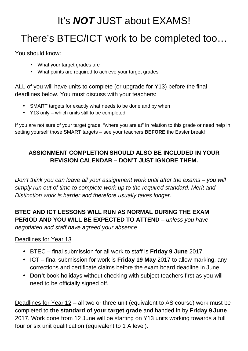# It's **NOT** JUST about EXAMS! There's BTEC/ICT work to be completed too…

You should know:

- What your target grades are
- What points are required to achieve your target grades

ALL of you will have units to complete (or upgrade for Y13) before the final deadlines below. You must discuss with your teachers:

- SMART targets for exactly what needs to be done and by when
- Y13 only which units still to be completed

If you are not sure of your target grade, "where you are at" in relation to this grade or need help in setting yourself those SMART targets – see your teachers **BEFORE** the Easter break!

#### **ASSIGNMENT COMPLETION SHOULD ALSO BE INCLUDED IN YOUR REVISION CALENDAR – DON'T JUST IGNORE THEM.**

Don't think you can leave all your assignment work until after the exams – you will simply run out of time to complete work up to the required standard. Merit and Distinction work is harder and therefore usually takes longer.

#### **BTEC AND ICT LESSONS WILL RUN AS NORMAL DURING THE EXAM PERIOD AND YOU WILL BE EXPECTED TO ATTEND** – unless you have

negotiated and staff have agreed your absence.

#### Deadlines for Year 13

- BTEC final submission for all work to staff is **Friday 9 June** 2017.
- ICT final submission for work is **Friday 19 May** 2017 to allow marking, any corrections and certificate claims before the exam board deadline in June.
- **Don't** book holidays without checking with subject teachers first as you will need to be officially signed off.

Deadlines for Year 12 – all two or three unit (equivalent to AS course) work must be completed to **the standard of your target grade** and handed in by **Friday 9 June** 2017. Work done from 12 June will be starting on Y13 units working towards a full four or six unit qualification (equivalent to 1 A level).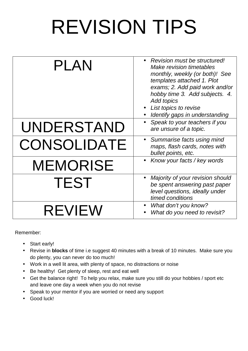# REVISION TIPS

| PLAN               | • Revision must be structured!<br>Make revision timetables<br>monthly, weekly (or both)! See<br>templates attached 1. Plot<br>exams; 2. Add paid work and/or<br>hobby time 3. Add subjects. 4.<br><b>Add topics</b><br>List topics to revise<br>Identify gaps in understanding |
|--------------------|--------------------------------------------------------------------------------------------------------------------------------------------------------------------------------------------------------------------------------------------------------------------------------|
| UNDERSTAND         | Speak to your teachers if you<br>are unsure of a topic.                                                                                                                                                                                                                        |
| <b>CONSOLIDATE</b> | • Summarise facts using mind<br>maps, flash cards, notes with<br>bullet points, etc.                                                                                                                                                                                           |
| <b>MEMORISE</b>    | Know your facts / key words                                                                                                                                                                                                                                                    |
| <b>TEST</b>        | Majority of your revision should<br>be spent answering past paper<br>level questions, ideally under<br>timed conditions                                                                                                                                                        |
| <b>REVIEW</b>      | What don't you know?<br>What do you need to revisit?                                                                                                                                                                                                                           |

Remember:

- Start early!
- Revise in **blocks** of time i.e suggest 40 minutes with a break of 10 minutes. Make sure you do plenty, you can never do too much!
- Work in a well lit area, with plenty of space, no distractions or noise
- Be healthy! Get plenty of sleep, rest and eat well
- Get the balance right! To help you relax, make sure you still do your hobbies / sport etc and leave one day a week when you do not revise
- Speak to your mentor if you are worried or need any support
- Good luck!